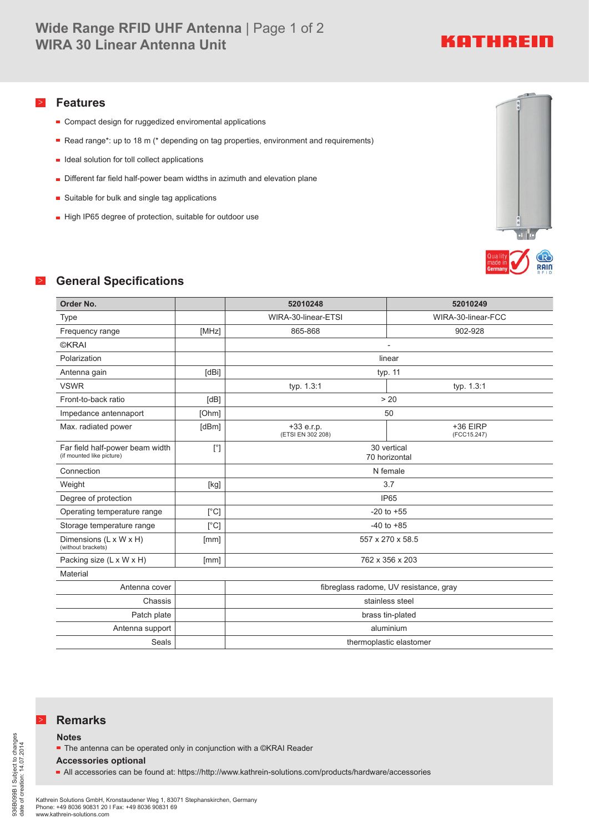# KATHREIN

### > **Features**

- Compact design for ruggedized enviromental applications
- Read range\*: up to 18 m (\* depending on tag properties, environment and requirements)
- $\blacksquare$  Ideal solution for toll collect applications
- Different far field half-power beam widths in azimuth and elevation plane
- **Suitable for bulk and single tag applications**
- High IP65 degree of protection, suitable for outdoor use



## > **General Specifications**

| Order No.                                                    |               | 52010248                               | 52010249                  |
|--------------------------------------------------------------|---------------|----------------------------------------|---------------------------|
| <b>Type</b>                                                  |               | WIRA-30-linear-ETSI                    | WIRA-30-linear-FCC        |
| Frequency range                                              | [MHz]         | 865-868                                | 902-928                   |
| <b>©KRAI</b>                                                 |               |                                        |                           |
| Polarization                                                 |               | linear                                 |                           |
| Antenna gain                                                 | [dBi]         | typ. 11                                |                           |
| <b>VSWR</b>                                                  |               | typ. 1.3:1                             | typ. 1.3:1                |
| Front-to-back ratio                                          | [dB]          | > 20                                   |                           |
| Impedance antennaport                                        | [Ohm]         | 50                                     |                           |
| Max. radiated power                                          | [dBm]         | $+33 e.r.p.$<br>(ETSI EN 302 208)      | $+36$ EIRP<br>(FCC15.247) |
| Far field half-power beam width<br>(if mounted like picture) | [°]           | 30 vertical<br>70 horizontal           |                           |
| Connection                                                   |               | N female                               |                           |
| Weight                                                       | [kg]          | 3.7                                    |                           |
| Degree of protection                                         |               | <b>IP65</b>                            |                           |
| Operating temperature range                                  | $[^{\circ}C]$ | $-20$ to $+55$                         |                           |
| Storage temperature range                                    | [°C]          | $-40$ to $+85$                         |                           |
| Dimensions (L x W x H)<br>(without brackets)                 | [mm]          | 557 x 270 x 58.5                       |                           |
| Packing size (L x W x H)                                     | [mm]          | 762 x 356 x 203                        |                           |
| Material                                                     |               |                                        |                           |
| Antenna cover                                                |               | fibreglass radome, UV resistance, gray |                           |
| Chassis                                                      |               | stainless steel                        |                           |
| Patch plate                                                  |               | brass tin-plated                       |                           |
| Antenna support                                              |               | aluminium                              |                           |
| Seals                                                        |               | thermoplastic elastomer                |                           |

### > **Remarks**

#### **Notes**

■ The antenna can be operated only in conjunction with a ©KRAI Reader

#### **Accessories optional**

All accessories can be found at: https://http://www.kathrein-solutions.com/products/hardware/accessories